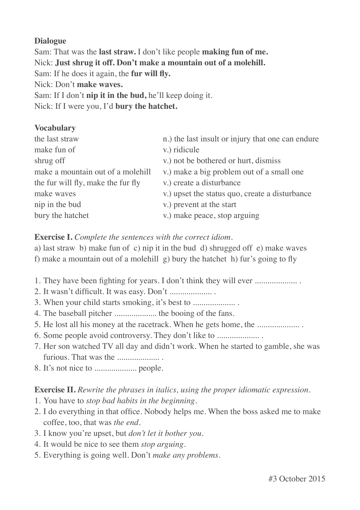## **Dialogue**

Sam: That was the **last straw.** I don't like people **making fun of me.** Nick: **Just shrug it off. Don't make a mountain out of a molehill.** Sam: If he does it again, the **fur will fly.** Nick: Don't **make waves.** Sam: If I don't **nip it in the bud,** he'll keep doing it. Nick: If I were you, I'd **bury the hatchet.**

## **Vocabulary**

| n.) the last insult or injury that one can endure |
|---------------------------------------------------|
| v.) ridicule                                      |
| v.) not be bothered or hurt, dismiss              |
| v.) make a big problem out of a small one         |
| v.) create a disturbance                          |
| v.) upset the status quo, create a disturbance    |
| v.) prevent at the start                          |
| v.) make peace, stop arguing                      |
|                                                   |

## **Exercise I.** *Complete the sentences with the correct idiom.*

a) last straw b) make fun of c) nip it in the bud d) shrugged off e) make waves f) make a mountain out of a molehill g) bury the hatchet h) fur's going to fly

- 1. They have been fighting for years. I don't think they will ever .................... .
- 2. It wasn't difficult. It was easy. Don't .................... .
- 3. When your child starts smoking, it's best to .................... .
- 4. The baseball pitcher .................... the booing of the fans.
- 5. He lost all his money at the racetrack. When he gets home, the .................... .
- 6. Some people avoid controversy. They don't like to .................... .
- 7. Her son watched TV all day and didn't work. When he started to gamble, she was furious. That was the ....................
- 8. It's not nice to .................... people.

## **Exercise II.** *Rewrite the phrases in italics, using the proper idiomatic expression.*

- 1. You have to *stop bad habits in the beginning.*
- 2. I do everything in that office. Nobody helps me. When the boss asked me to make coffee, too, that was *the end.*
- 3. I know you're upset, but *don't let it bother you.*
- 4. It would be nice to see them *stop arguing.*
- 5. Everything is going well. Don't *make any problems*.